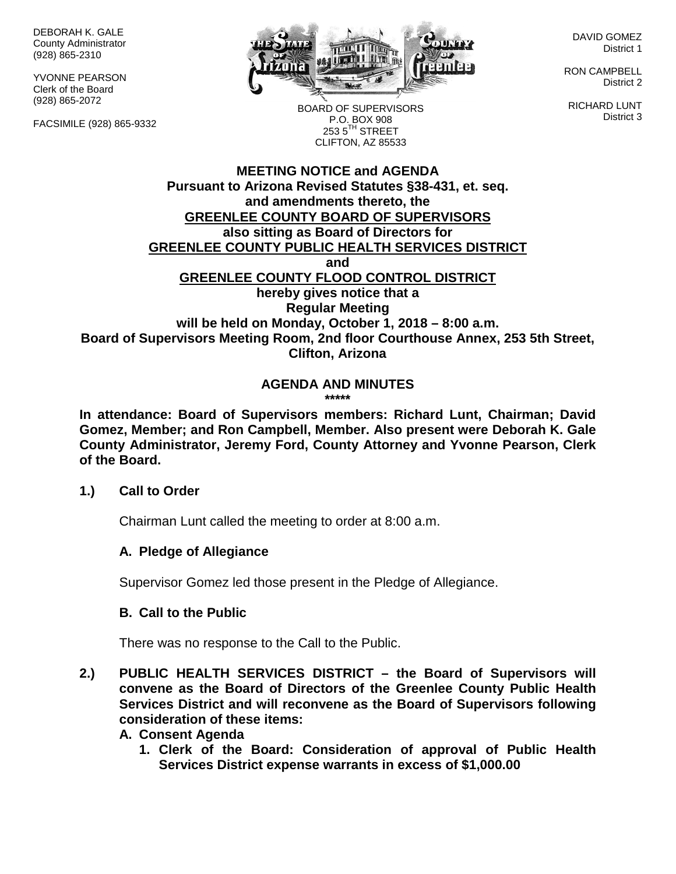DEBORAH K. GALE County Administrator (928) 865-2310

YVONNE PEARSON Clerk of the Board (928) 865-2072

FACSIMILE (928) 865-9332



DAVID GOMEZ District 1

RON CAMPBELL District 2

RICHARD LUNT District 3

BOARD OF SUPERVISORS P.O. BOX 908  $253.5$ <sup>TH</sup> STREET CLIFTON, AZ 85533

#### **MEETING NOTICE and AGENDA Pursuant to Arizona Revised Statutes §38-431, et. seq. and amendments thereto, the GREENLEE COUNTY BOARD OF SUPERVISORS also sitting as Board of Directors for GREENLEE COUNTY PUBLIC HEALTH SERVICES DISTRICT and GREENLEE COUNTY FLOOD CONTROL DISTRICT hereby gives notice that a Regular Meeting will be held on Monday, October 1, 2018 – 8:00 a.m. Board of Supervisors Meeting Room, 2nd floor Courthouse Annex, 253 5th Street, Clifton, Arizona**

#### **AGENDA AND MINUTES \*\*\*\*\***

**In attendance: Board of Supervisors members: Richard Lunt, Chairman; David Gomez, Member; and Ron Campbell, Member. Also present were Deborah K. Gale County Administrator, Jeremy Ford, County Attorney and Yvonne Pearson, Clerk of the Board.**

### **1.) Call to Order**

Chairman Lunt called the meeting to order at 8:00 a.m.

### **A. Pledge of Allegiance**

Supervisor Gomez led those present in the Pledge of Allegiance.

### **B. Call to the Public**

There was no response to the Call to the Public.

- **2.) PUBLIC HEALTH SERVICES DISTRICT – the Board of Supervisors will convene as the Board of Directors of the Greenlee County Public Health Services District and will reconvene as the Board of Supervisors following consideration of these items:**
	- **A. Consent Agenda**
		- **1. Clerk of the Board: Consideration of approval of Public Health Services District expense warrants in excess of \$1,000.00**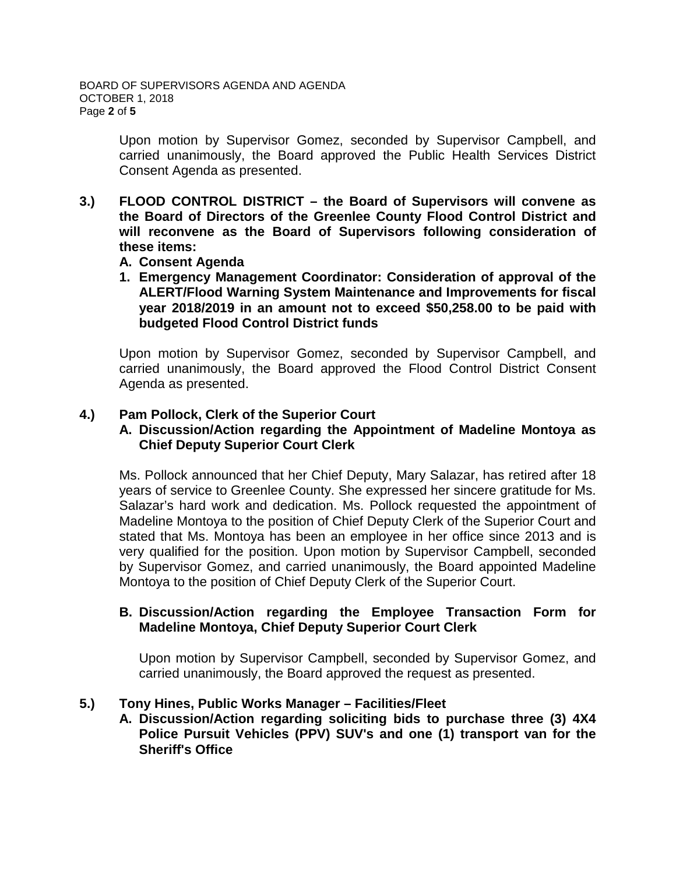Upon motion by Supervisor Gomez, seconded by Supervisor Campbell, and carried unanimously, the Board approved the Public Health Services District Consent Agenda as presented.

- **3.) FLOOD CONTROL DISTRICT – the Board of Supervisors will convene as the Board of Directors of the Greenlee County Flood Control District and will reconvene as the Board of Supervisors following consideration of these items:**
	- **A. Consent Agenda**
	- **1. Emergency Management Coordinator: Consideration of approval of the ALERT/Flood Warning System Maintenance and Improvements for fiscal year 2018/2019 in an amount not to exceed \$50,258.00 to be paid with budgeted Flood Control District funds**

Upon motion by Supervisor Gomez, seconded by Supervisor Campbell, and carried unanimously, the Board approved the Flood Control District Consent Agenda as presented.

# **4.) Pam Pollock, Clerk of the Superior Court**

# **A. Discussion/Action regarding the Appointment of Madeline Montoya as Chief Deputy Superior Court Clerk**

Ms. Pollock announced that her Chief Deputy, Mary Salazar, has retired after 18 years of service to Greenlee County. She expressed her sincere gratitude for Ms. Salazar's hard work and dedication. Ms. Pollock requested the appointment of Madeline Montoya to the position of Chief Deputy Clerk of the Superior Court and stated that Ms. Montoya has been an employee in her office since 2013 and is very qualified for the position. Upon motion by Supervisor Campbell, seconded by Supervisor Gomez, and carried unanimously, the Board appointed Madeline Montoya to the position of Chief Deputy Clerk of the Superior Court.

### **B. Discussion/Action regarding the Employee Transaction Form for Madeline Montoya, Chief Deputy Superior Court Clerk**

Upon motion by Supervisor Campbell, seconded by Supervisor Gomez, and carried unanimously, the Board approved the request as presented.

### **5.) Tony Hines, Public Works Manager – Facilities/Fleet**

**A. Discussion/Action regarding soliciting bids to purchase three (3) 4X4 Police Pursuit Vehicles (PPV) SUV's and one (1) transport van for the Sheriff's Office**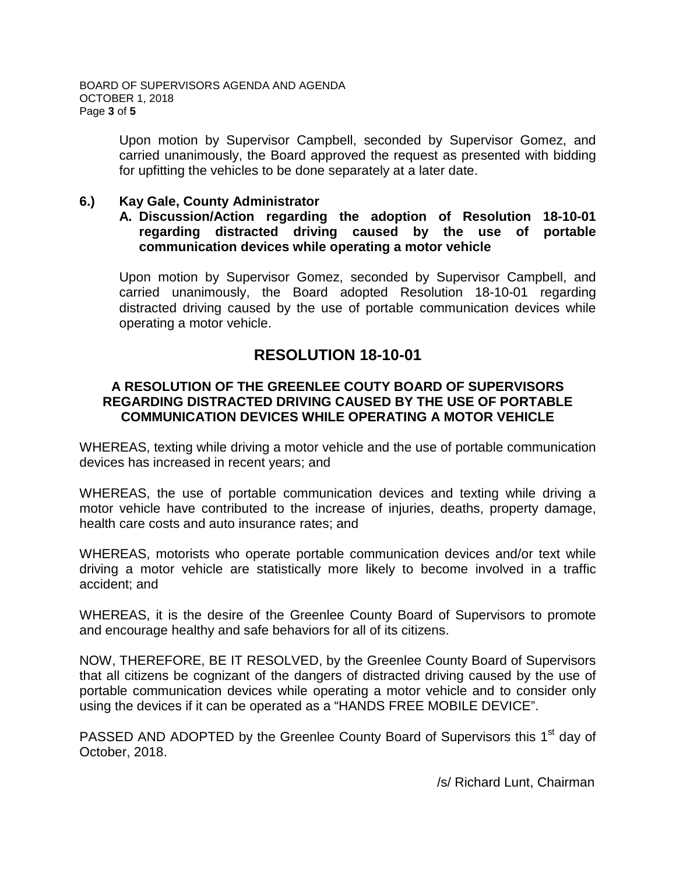Upon motion by Supervisor Campbell, seconded by Supervisor Gomez, and carried unanimously, the Board approved the request as presented with bidding for upfitting the vehicles to be done separately at a later date.

### **6.) Kay Gale, County Administrator**

#### **A. Discussion/Action regarding the adoption of Resolution 18-10-01 regarding distracted driving caused by the use of portable communication devices while operating a motor vehicle**

Upon motion by Supervisor Gomez, seconded by Supervisor Campbell, and carried unanimously, the Board adopted Resolution 18-10-01 regarding distracted driving caused by the use of portable communication devices while operating a motor vehicle.

# **RESOLUTION 18-10-01**

## **A RESOLUTION OF THE GREENLEE COUTY BOARD OF SUPERVISORS REGARDING DISTRACTED DRIVING CAUSED BY THE USE OF PORTABLE COMMUNICATION DEVICES WHILE OPERATING A MOTOR VEHICLE**

WHEREAS, texting while driving a motor vehicle and the use of portable communication devices has increased in recent years; and

WHEREAS, the use of portable communication devices and texting while driving a motor vehicle have contributed to the increase of injuries, deaths, property damage, health care costs and auto insurance rates; and

WHEREAS, motorists who operate portable communication devices and/or text while driving a motor vehicle are statistically more likely to become involved in a traffic accident; and

WHEREAS, it is the desire of the Greenlee County Board of Supervisors to promote and encourage healthy and safe behaviors for all of its citizens.

NOW, THEREFORE, BE IT RESOLVED, by the Greenlee County Board of Supervisors that all citizens be cognizant of the dangers of distracted driving caused by the use of portable communication devices while operating a motor vehicle and to consider only using the devices if it can be operated as a "HANDS FREE MOBILE DEVICE".

PASSED AND ADOPTED by the Greenlee County Board of Supervisors this 1<sup>st</sup> day of October, 2018.

/s/ Richard Lunt, Chairman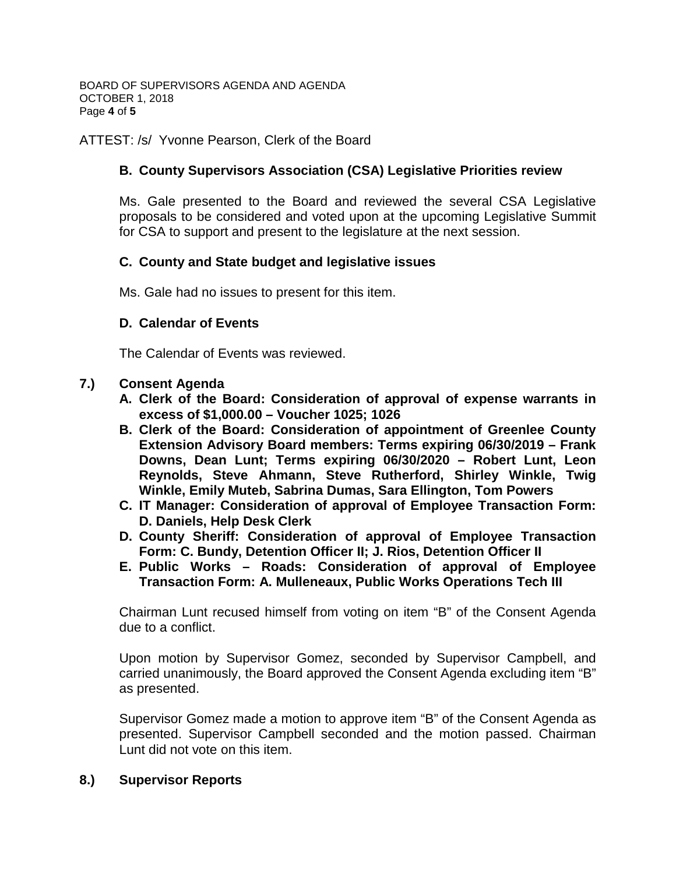BOARD OF SUPERVISORS AGENDA AND AGENDA OCTOBER 1, 2018 Page **4** of **5**

ATTEST: /s/ Yvonne Pearson, Clerk of the Board

### **B. County Supervisors Association (CSA) Legislative Priorities review**

Ms. Gale presented to the Board and reviewed the several CSA Legislative proposals to be considered and voted upon at the upcoming Legislative Summit for CSA to support and present to the legislature at the next session.

### **C. County and State budget and legislative issues**

Ms. Gale had no issues to present for this item.

#### **D. Calendar of Events**

The Calendar of Events was reviewed.

#### **7.) Consent Agenda**

- **A. Clerk of the Board: Consideration of approval of expense warrants in excess of \$1,000.00 – Voucher 1025; 1026**
- **B. Clerk of the Board: Consideration of appointment of Greenlee County Extension Advisory Board members: Terms expiring 06/30/2019 – Frank Downs, Dean Lunt; Terms expiring 06/30/2020 – Robert Lunt, Leon Reynolds, Steve Ahmann, Steve Rutherford, Shirley Winkle, Twig Winkle, Emily Muteb, Sabrina Dumas, Sara Ellington, Tom Powers**
- **C. IT Manager: Consideration of approval of Employee Transaction Form: D. Daniels, Help Desk Clerk**
- **D. County Sheriff: Consideration of approval of Employee Transaction Form: C. Bundy, Detention Officer II; J. Rios, Detention Officer II**
- **E. Public Works – Roads: Consideration of approval of Employee Transaction Form: A. Mulleneaux, Public Works Operations Tech III**

Chairman Lunt recused himself from voting on item "B" of the Consent Agenda due to a conflict.

Upon motion by Supervisor Gomez, seconded by Supervisor Campbell, and carried unanimously, the Board approved the Consent Agenda excluding item "B" as presented.

Supervisor Gomez made a motion to approve item "B" of the Consent Agenda as presented. Supervisor Campbell seconded and the motion passed. Chairman Lunt did not vote on this item.

#### **8.) Supervisor Reports**